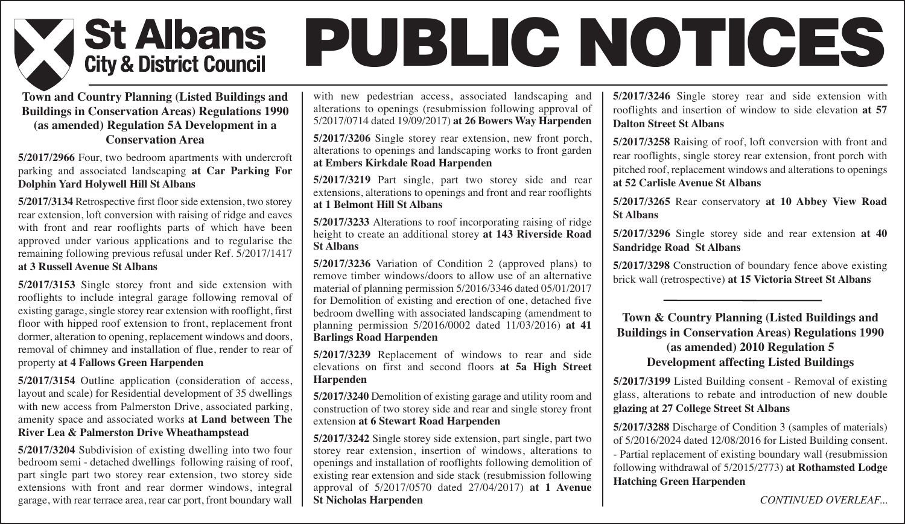

# **PUBLIC NOTICES**

### **Town and Country Planning (Listed Buildings and Buildings in Conservation Areas) Regulations 1990 (as amended) Regulation 5A Development in a Conservation Area**

### **5/2017/2966** Four, two bedroom apartments with undercroft parking and associated landscaping **at Car Parking For Dolphin Yard Holywell Hill St Albans**

**5/2017/3134** Retrospective first floor side extension, two storey rear extension, loft conversion with raising of ridge and eaves with front and rear rooflights parts of which have been approved under various applications and to regularise the remaining following previous refusal under Ref. 5/2017/1417 **at 3 Russell Avenue St Albans**

**5/2017/3153** Single storey front and side extension with rooflights to include integral garage following removal of existing garage, single storey rear extension with rooflight, first floor with hipped roof extension to front, replacement front dormer, alteration to opening, replacement windows and doors, removal of chimney and installation of flue, render to rear of property **at 4 Fallows Green Harpenden**

**5/2017/3154** Outline application (consideration of access, layout and scale) for Residential development of 35 dwellings with new access from Palmerston Drive, associated parking, amenity space and associated works **at Land between The River Lea & Palmerston Drive Wheathampstead**

**5/2017/3204** Subdivision of existing dwelling into two four bedroom semi - detached dwellings following raising of roof, part single part two storey rear extension, two storey side extensions with front and rear dormer windows, integral garage, with rear terrace area, rear car port, front boundary wall with new pedestrian access, associated landscaping and alterations to openings (resubmission following approval of 5/2017/0714 dated 19/09/2017) **at 26 Bowers Way Harpenden**

**5/2017/3206** Single storey rear extension, new front porch, alterations to openings and landscaping works to front garden **at Embers Kirkdale Road Harpenden**

**5/2017/3219** Part single, part two storey side and rear extensions, alterations to openings and front and rear rooflights **at 1 Belmont Hill St Albans**

**5/2017/3233** Alterations to roof incorporating raising of ridge height to create an additional storey **at 143 Riverside Road St Albans**

**5/2017/3236** Variation of Condition 2 (approved plans) to remove timber windows/doors to allow use of an alternative material of planning permission 5/2016/3346 dated 05/01/2017 for Demolition of existing and erection of one, detached five bedroom dwelling with associated landscaping (amendment to planning permission 5/2016/0002 dated 11/03/2016) **at 41 Barlings Road Harpenden**

**5/2017/3239** Replacement of windows to rear and side elevations on first and second floors **at 5a High Street Harpenden**

**5/2017/3240** Demolition of existing garage and utility room and construction of two storey side and rear and single storey front extension **at 6 Stewart Road Harpenden**

**5/2017/3242** Single storey side extension, part single, part two storey rear extension, insertion of windows, alterations to openings and installation of rooflights following demolition of existing rear extension and side stack (resubmission following approval of 5/2017/0570 dated 27/04/2017) **at 1 Avenue St Nicholas Harpenden**

**5/2017/3246** Single storey rear and side extension with rooflights and insertion of window to side elevation **at 57 Dalton Street St Albans**

**5/2017/3258** Raising of roof, loft conversion with front and rear rooflights, single storey rear extension, front porch with pitched roof, replacement windows and alterations to openings **at 52 Carlisle Avenue St Albans**

**5/2017/3265** Rear conservatory **at 10 Abbey View Road St Albans**

**5/2017/3296** Single storey side and rear extension **at 40 Sandridge Road St Albans**

**5/2017/3298** Construction of boundary fence above existing brick wall (retrospective) **at 15 Victoria Street St Albans**

**Town & Country Planning (Listed Buildings and Buildings in Conservation Areas) Regulations 1990 (as amended) 2010 Regulation 5 Development affecting Listed Buildings**

**5/2017/3199** Listed Building consent - Removal of existing glass, alterations to rebate and introduction of new double **glazing at 27 College Street St Albans**

**5/2017/3288** Discharge of Condition 3 (samples of materials) of 5/2016/2024 dated 12/08/2016 for Listed Building consent. - Partial replacement of existing boundary wall (resubmission following withdrawal of 5/2015/2773) **at Rothamsted Lodge Hatching Green Harpenden**

*CONTINUED OVERLEAF...*